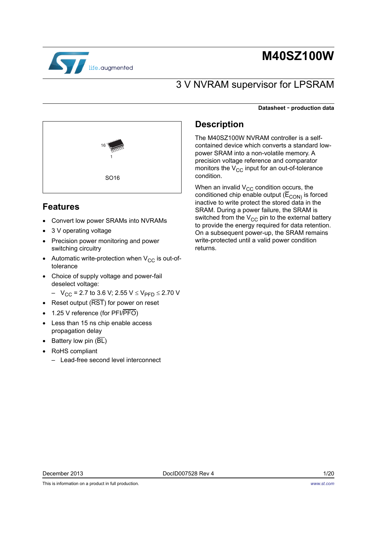

# **M40SZ100W**

## 3 V NVRAM supervisor for LPSRAM

#### **Datasheet** - **production data**



### **Features**

- Convert low power SRAMs into NVRAMs
- 3 V operating voltage
- Precision power monitoring and power switching circuitry
- Automatic write-protection when  $V_{CC}$  is out-oftolerance
- Choice of supply voltage and power-fail deselect voltage:
	- $-V_{CC}$  = 2.7 to 3.6 V; 2.55 V  $\leq$  V<sub>PFD</sub>  $\leq$  2.70 V
- Reset output ( $\overline{\text{RST}}$ ) for power on reset
- 1.25 V reference (for PFI/PFO)
- Less than 15 ns chip enable access propagation delay
- Battery low pin  $(BL)$
- RoHS compliant
	- Lead-free second level interconnect

### **Description**

The M40SZ100W NVRAM controller is a selfcontained device which converts a standard lowpower SRAM into a non-volatile memory. A precision voltage reference and comparator monitors the  $V_{CC}$  input for an out-of-tolerance condition.

When an invalid  $\rm V_{CC}$  condition o $\rm \underline{c}c$ urs, the conditioned chip enable output ( $\mathsf{E}_{\mathsf{CON}}$ ) is forced inactive to write protect the stored data in the SRAM. During a power failure, the SRAM is switched from the  $V_{CC}$  pin to the external battery to provide the energy required for data retention. On a subsequent power-up, the SRAM remains write-protected until a valid power condition returns.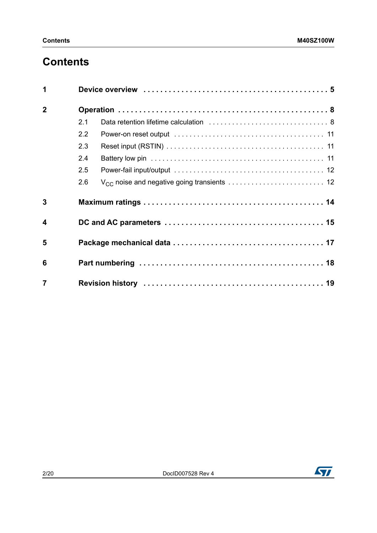# **Contents**

| 1                |     |
|------------------|-----|
| $\overline{2}$   |     |
|                  | 2.1 |
|                  | 2.2 |
|                  | 2.3 |
|                  | 2.4 |
|                  | 2.5 |
|                  | 2.6 |
| $\overline{3}$   |     |
| $\boldsymbol{4}$ |     |
| 5                |     |
| 6                |     |
| $\overline{7}$   |     |

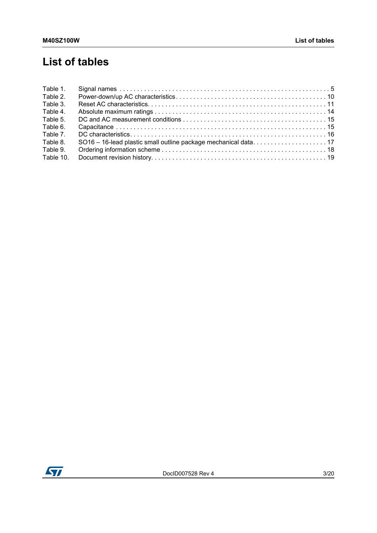# **List of tables**

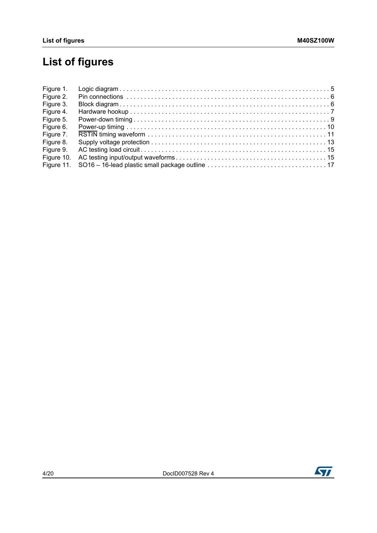# **List of figures**

| Figure 1.  |  |
|------------|--|
| Figure 2.  |  |
| Figure 3.  |  |
| Figure 4.  |  |
| Figure 5.  |  |
| Figure 6.  |  |
| Figure 7.  |  |
| Figure 8.  |  |
| Figure 9.  |  |
| Figure 10. |  |
|            |  |

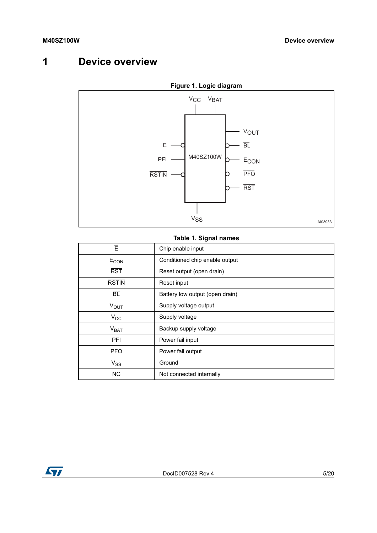## <span id="page-4-0"></span>**1 Device overview**

<span id="page-4-2"></span>

### **Figure 1. Logic diagram**

### **Table 1. Signal names**

<span id="page-4-1"></span>

| Ē                                    | Chip enable input               |
|--------------------------------------|---------------------------------|
| $\overline{\mathsf{E}}_\mathsf{CON}$ | Conditioned chip enable output  |
| $\overline{RST}$                     | Reset output (open drain)       |
| <b>RSTIN</b>                         | Reset input                     |
| $\overline{BL}$                      | Battery low output (open drain) |
| $V_{\text{OUT}}$                     | Supply voltage output           |
| $V_{\rm CC}$                         | Supply voltage                  |
| V <sub>BAT</sub>                     | Backup supply voltage           |
| PFI                                  | Power fail input                |
| <b>PFO</b>                           | Power fail output               |
| $V_{SS}$                             | Ground                          |
| <b>NC</b>                            | Not connected internally        |

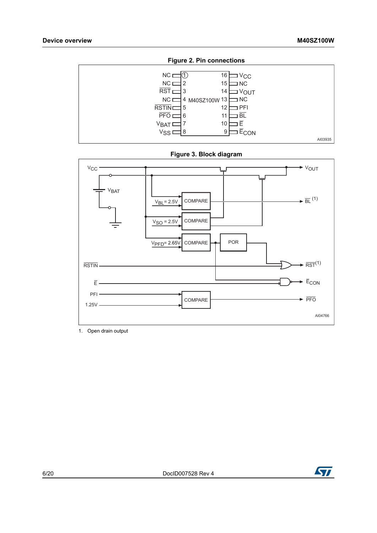<span id="page-5-0"></span>





<span id="page-5-1"></span>

1. Open drain output

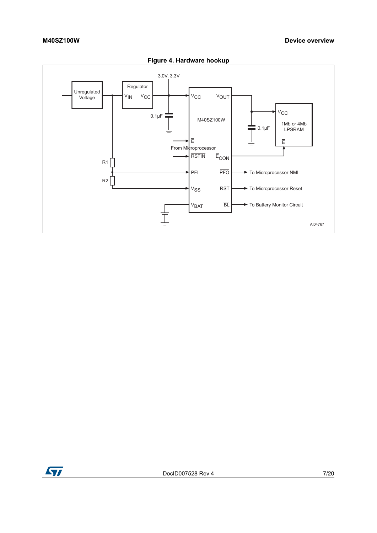<span id="page-6-0"></span>

**Figure 4. Hardware hookup**

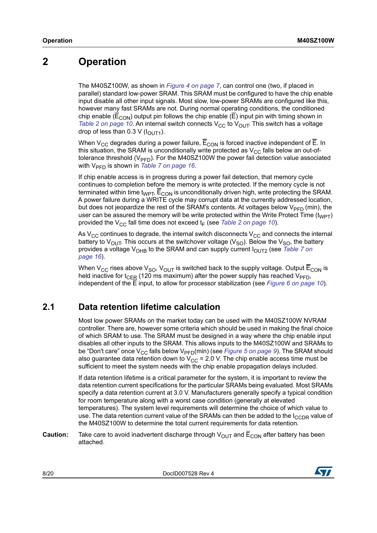## <span id="page-7-0"></span>**2 Operation**

The M40SZ100W, as shown in *[Figure 4 on page 7](#page-6-0)*, can control one (two, if placed in parallel) standard low-power SRAM. This SRAM must be configured to have the chip enable input disable all other input signals. Most slow, low-power SRAMs are configured like this, however many fast SRAMs are not. During normal operating conditions, the conditioned chip enable ( $\overline{E}_{\text{CON}}$ ) output pin follows the chip enable ( $\overline{E}$ ) input pin with timing shown in *[Table 2 on page 10](#page-9-0).* An internal switch connects  $V_{CC}$  to  $V_{OUT}$ . This switch has a voltage drop of less than 0.3 V ( $I_{\text{OUT1}}$ ).

When  $V_{CC}$  degrades during a power failure,  $\overline{E}_{CON}$  is forced inactive independent of  $\overline{E}$ . In this situation, the SRAM is unconditionally write protected as  $V_{CC}$  falls below an out-oftolerance threshold ( $V_{\text{PFD}}$ ). For the M40SZ100W the power fail detection value associated with V<sub>PFD</sub> is shown in *[Table 7 on page 16](#page-15-0)*.

If chip enable access is in progress during a power fail detection, that memory cycle continues to completion before the memory is write protected. If the memory cycle is not terminated within time t<sub>WPT</sub>,  $\overline{E}_{CON}$  is unconditionally driven high, write protecting the SRAM. A power failure during a WRITE cycle may corrupt data at the currently addressed location, but does not jeopardize the rest of the SRAM's contents. At voltages below  $V_{\text{PFD}}$  (min), the user can be assured the memory will be write protected within the Write Protect Time  $(t_{WPT})$ provided the V<sub>CC</sub> fall time does not exceed t<sub>F</sub> (see *[Table 2 on page 10](#page-9-0)*).

As  $V_{CC}$  continues to degrade, the internal switch disconnects  $V_{CC}$  and connects the internal battery to  $V_{\text{OUT}}$ . This occurs at the switchover voltage ( $V_{\text{SO}}$ ). Below the  $V_{\text{SO}}$ , the battery provides a voltage V<sub>OHB</sub> to the SRAM and can supply current I<sub>OUT2</sub> (see *Table 7 on [page 16](#page-15-0)*).

When V<sub>CC</sub> rises above V<sub>SO</sub>, V<sub>OUT</sub> is switched back to the supply voltage. Output  $\overline{E}_{CON}$  is held inactive for t<sub>CER</sub> (120 ms maximum) after the power supply has reached V<sub>PFD</sub>, independent of the E input, to allow for processor stabilization (see *[Figure 6 on page 10](#page-9-1)*).

### <span id="page-7-1"></span>**2.1 Data retention lifetime calculation**

Most low power SRAMs on the market today can be used with the M40SZ100W NVRAM controller. There are, however some criteria which should be used in making the final choice of which SRAM to use. The SRAM must be designed in a way where the chip enable input disables all other inputs to the SRAM. This allows inputs to the M40SZ100W and SRAMs to be "Don't care" once V<sub>CC</sub> falls below V<sub>PFD</sub>(min) (see *[Figure 5 on page 9](#page-8-0)*). The SRAM should also guarantee data retention down to  $V_{CC}$  = 2.0 V. The chip enable access time must be sufficient to meet the system needs with the chip enable propagation delays included.

If data retention lifetime is a critical parameter for the system, it is important to review the data retention current specifications for the particular SRAMs being evaluated. Most SRAMs specify a data retention current at 3.0 V. Manufacturers generally specify a typical condition for room temperature along with a worst case condition (generally at elevated temperatures). The system level requirements will determine the choice of which value to use. The data retention current value of the SRAMs can then be added to the  $I_{CCDR}$  value of the M40SZ100W to determine the total current requirements for data retention.

**Caution:** Take care to avoid inadvertent discharge through  $V_{OUT}$  and  $\overline{E}_{CON}$  after battery has been attached.

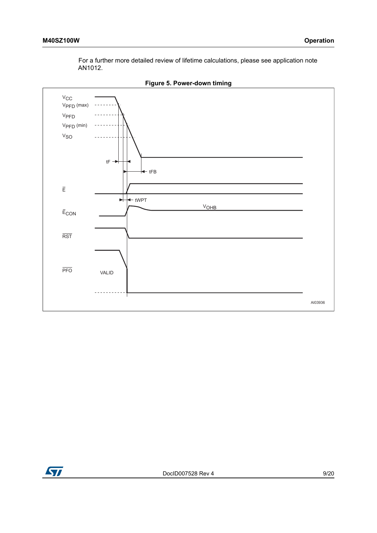For a further more detailed review of lifetime calculations, please see application note AN1012.

<span id="page-8-0"></span>

**Figure 5. Power-down timing**

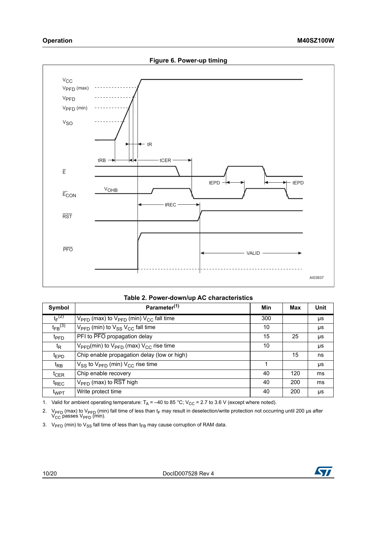<span id="page-9-1"></span>

|  | Table 2. Power-down/up AC characteristics |
|--|-------------------------------------------|
|  |                                           |

<span id="page-9-0"></span>

| Symbol                  | Parameter <sup>(1)</sup>                                                   | <b>Min</b> | Max | <b>Unit</b> |
|-------------------------|----------------------------------------------------------------------------|------------|-----|-------------|
| $t_F^{(2)}$             | $V_{\text{PFD}}$ (max) to $V_{\text{PFD}}$ (min) $V_{\text{CC}}$ fall time | 300        |     | μs          |
| $t_{FB}$ <sup>(3)</sup> | $V_{\text{PFD}}$ (min) to $V_{SS}$ $V_{CC}$ fall time                      | 10         |     | μs          |
| t <sub>PFD</sub>        | PFI to PFO propagation delay                                               | 15         | 25  | μs          |
| t <sub>R</sub>          | $V_{\text{PFD}}(min)$ to $V_{\text{PFD}}$ (max) $V_{\text{CC}}$ rise time  | 10         |     | μs          |
| <sup>t</sup> EPD        | Chip enable propagation delay (low or high)                                |            | 15  | ns          |
| t <sub>RB</sub>         | $V_{SS}$ to $V_{\text{PFD}}$ (min) $V_{CC}$ rise time                      | 1          |     | μs          |
| $t_{CER}$               | Chip enable recovery                                                       | 40         | 120 | ms          |
| <sup>t</sup> REC        | $V_{\text{PFD}}$ (max) to $\overline{\text{RST}}$ high                     | 40         | 200 | ms          |
| t <sub>WPT</sub>        | Write protect time                                                         | 40         | 200 | μs          |

1. Valid for ambient operating temperature:  $T_A = -40$  to 85 °C; V<sub>CC</sub> = 2.7 to 3.6 V (except where noted).

2. V<sub>PFD</sub> (max) to V<sub>PFD</sub> (min) fall time of less than t<sub>F</sub> may result in deselection/write protection not occurring until 200 μs after  $V_{\text{CC}}$  passes  $V_{\text{PFD}}$  (min).

3.  $V_{\text{PFD}}$  (min) to  $V_{\text{SS}}$  fall time of less than t<sub>FB</sub> may cause corruption of RAM data.

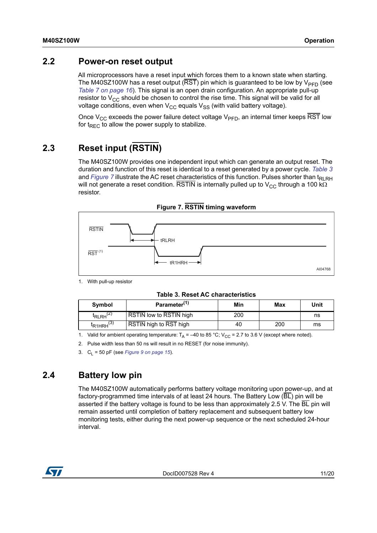### <span id="page-10-0"></span>**2.2 Power-on reset output**

All microprocessors have a reset input which forces them to a known state when starting. The M40SZ100W has a reset output ( $\overline{RST}$ ) pin which is guaranteed to be low by  $V_{\text{PFD}}$  (see *[Table 7 on page 16](#page-15-0)*). This signal is an open drain configuration. An appropriate pull-up resistor to  $V_{CC}$  should be chosen to control the rise time. This signal will be valid for all voltage conditions, even when  $V_{CC}$  equals  $V_{SS}$  (with valid battery voltage).

Once V<sub>CC</sub> exceeds the power failure detect voltage V<sub>PFD</sub>, an internal timer keeps RST low for  $t_{\text{RFC}}$  to allow the power supply to stabilize.

## <span id="page-10-1"></span>**2.3 Reset input (RSTIN)**

The M40SZ100W provides one independent input which can generate an output reset. The duration and function of this reset is identical to a reset generated by a power cycle. *[Table 3](#page-10-3)* and *Figure* 7 illustrate the AC reset characteristics of this function. Pulses shorter than  $t_{\text{RI RH}}$ will not generate a reset condition. RSTIN is internally pulled up to  $V_{CC}$  through a 100 k $\Omega$ resistor.

<span id="page-10-4"></span>

#### **Figure 7. RSTIN timing waveform**

1. With pull-up resistor

**Table 3. Reset AC characteristics**

<span id="page-10-3"></span>

| Symbol                           | Parameter <sup>(1)</sup>       | Min | Max | Unit |
|----------------------------------|--------------------------------|-----|-----|------|
| <sup>I</sup> RLRH <sup>(2)</sup> | <b>RSTIN low to RSTIN high</b> | 200 |     | ns   |
| $R1HRH^{(3)}$                    | RSTIN high to RST high         | 40  | 200 | ms   |

1. Valid for ambient operating temperature:  $T_A = -40$  to 85 °C; V<sub>CC</sub> = 2.7 to 3.6 V (except where noted).

2. Pulse width less than 50 ns will result in no RESET (for noise immunity).

3.  $C_1 = 50$  pF (see *[Figure 9 on page 15](#page-14-3)*).

### <span id="page-10-2"></span>**2.4 Battery low pin**

The M40SZ100W automatically performs battery voltage monitoring upon power-up, and at factory-programmed time intervals of at least 24 hours. The Battery Low  $(\overline{BL})$  pin will be asserted if the battery voltage is found to be less than approximately 2.5 V. The  $\overline{BL}$  pin will remain asserted until completion of battery replacement and subsequent battery low monitoring tests, either during the next power-up sequence or the next scheduled 24-hour interval.

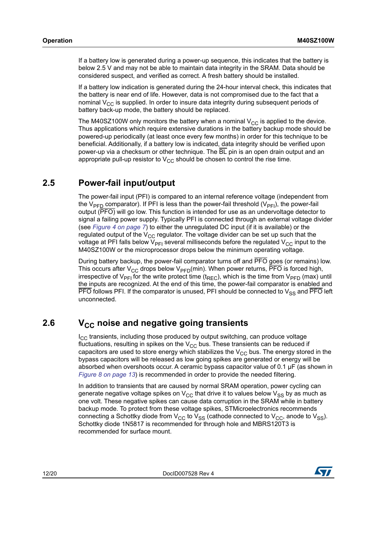If a battery low is generated during a power-up sequence, this indicates that the battery is below 2.5 V and may not be able to maintain data integrity in the SRAM. Data should be considered suspect, and verified as correct. A fresh battery should be installed.

If a battery low indication is generated during the 24-hour interval check, this indicates that the battery is near end of life. However, data is not compromised due to the fact that a nominal  $V_{CC}$  is supplied. In order to insure data integrity during subsequent periods of battery back-up mode, the battery should be replaced.

The M40SZ100W only monitors the battery when a nominal  $V_{CC}$  is applied to the device. Thus applications which require extensive durations in the battery backup mode should be powered-up periodically (at least once every few months) in order for this technique to be beneficial. Additionally, if a battery low is indicated, data integrity should be verified upon power-up via a checksum or other technique. The  $\overline{BL}$  pin is an open drain output and an appropriate pull-up resistor to  $V_{CC}$  should be chosen to control the rise time.

### <span id="page-11-0"></span>**2.5 Power-fail input/output**

The power-fail input (PFI) is compared to an internal reference voltage (independent from the  $V_{\text{PFD}}$  comparator). If PFI is less than the power-fail threshold ( $V_{\text{PFD}}$ ), the power-fail output (PFO) will go low. This function is intended for use as an undervoltage detector to signal a failing power supply. Typically PFI is connected through an external voltage divider (see *[Figure 4 on page 7](#page-6-0)*) to either the unregulated DC input (if it is available) or the regulated output of the  $V_{CC}$  regulator. The voltage divider can be set up such that the voltage at PFI falls below  $V_{\text{PFI}}$  several milliseconds before the regulated  $V_{\text{CC}}$  input to the M40SZ100W or the microprocessor drops below the minimum operating voltage.

During battery backup, the power-fail comparator turns off and PFO goes (or remains) low. This occurs after V<sub>CC</sub> drops below V<sub>PFD</sub>(min). When power returns,  $\overline{\text{PFO}}$  is forced high, irrespective of  $V_{\text{PE1}}$  for the write protect time (t<sub>REC</sub>), which is the time from  $V_{\text{PED}}$  (max) until the inputs are recognized. At the end of this time, the power-fail comparator is enabled and  $\overline{PFO}$  follows PFI. If the comparator is unused, PFI should be connected to  $\mathrm{V_{SS}}$  and  $\overline{\mathrm{PFO}}$  left unconnected.

### <span id="page-11-1"></span>**2.6** V<sub>CC</sub> noise and negative going transients

 $I_{CC}$  transients, including those produced by output switching, can produce voltage fluctuations, resulting in spikes on the  $V_{CC}$  bus. These transients can be reduced if capacitors are used to store energy which stabilizes the  $V_{CC}$  bus. The energy stored in the bypass capacitors will be released as low going spikes are generated or energy will be absorbed when overshoots occur. A ceramic bypass capacitor value of 0.1 μF (as shown in *[Figure 8 on page 13](#page-12-0)*) is recommended in order to provide the needed filtering.

In addition to transients that are caused by normal SRAM operation, power cycling can generate negative voltage spikes on  $V_{CC}$  that drive it to values below  $V_{SS}$  by as much as one volt. These negative spikes can cause data corruption in the SRAM while in battery backup mode. To protect from these voltage spikes, STMicroelectronics recommends connecting a Schottky diode from  $V_{CC}$  to  $V_{SS}$  (cathode connected to  $V_{CC}$ , anode to  $V_{SS}$ ). Schottky diode 1N5817 is recommended for through hole and MBRS120T3 is recommended for surface mount.

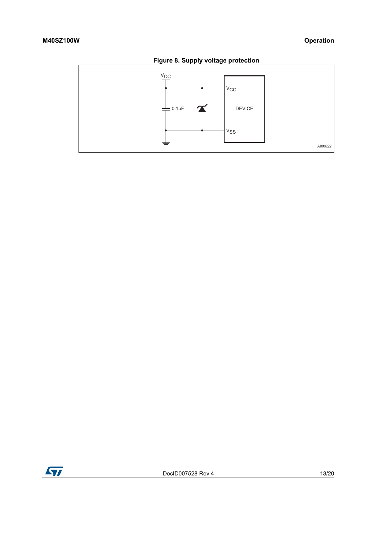

<span id="page-12-0"></span>

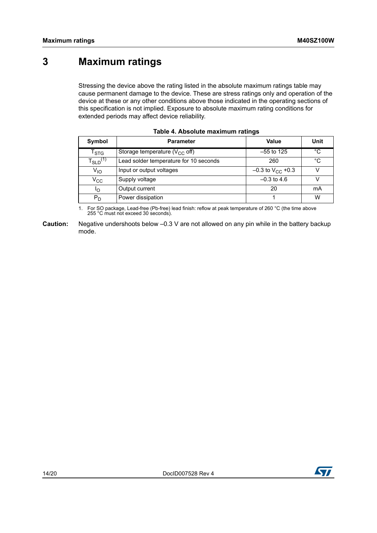## <span id="page-13-0"></span>**3 Maximum ratings**

Stressing the device above the rating listed in the absolute maximum ratings table may cause permanent damage to the device. These are stress ratings only and operation of the device at these or any other conditions above those indicated in the operating sections of this specification is not implied. Exposure to absolute maximum rating conditions for extended periods may affect device reliability.

<span id="page-13-1"></span>

| Symbol                    | <b>Parameter</b>                       | Value                          | Unit        |
|---------------------------|----------------------------------------|--------------------------------|-------------|
| $\mathsf{T}_{\text{STG}}$ | Storage temperature ( $V_{CC}$ off)    | $-55$ to 125                   | $^{\circ}C$ |
| $T_{SLD}^{(1)}$           | Lead solder temperature for 10 seconds | 260                            | $^{\circ}C$ |
| $V_{1O}$                  | Input or output voltages               | $-0.3$ to V <sub>CC</sub> +0.3 |             |
| $\rm v_{cc}$              | Supply voltage                         | $-0.3$ to 4.6                  |             |
| ∩י                        | Output current                         | 20                             | mA          |
| $P_D$                     | Power dissipation                      |                                | W           |

|  |  | Table 4. Absolute maximum ratings |  |
|--|--|-----------------------------------|--|
|--|--|-----------------------------------|--|

1. For SO package, Lead-free (Pb-free) lead finish: reflow at peak temperature of 260 °C (the time above 255 °C must not exceed 30 seconds).

**Caution:** Negative undershoots below –0.3 V are not allowed on any pin while in the battery backup mode.

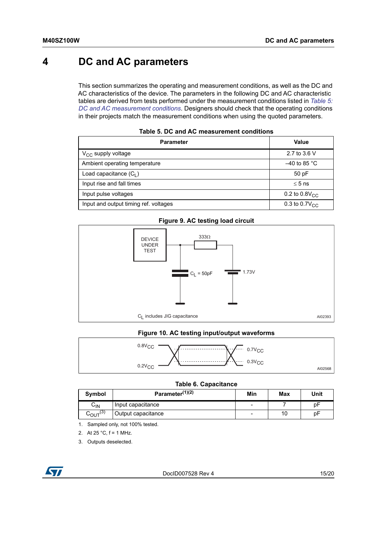## <span id="page-14-0"></span>**4 DC and AC parameters**

This section summarizes the operating and measurement conditions, as well as the DC and AC characteristics of the device. The parameters in the following DC and AC characteristic tables are derived from tests performed under the measurement conditions listed in *[Table 5:](#page-14-1)  [DC and AC measurement conditions](#page-14-1)*. Designers should check that the operating conditions in their projects match the measurement conditions when using the quoted parameters.

<span id="page-14-1"></span>

| <b>Parameter</b>                      | Value               |
|---------------------------------------|---------------------|
| $V_{CC}$ supply voltage               | 2.7 to 3.6 V        |
| Ambient operating temperature         | $-40$ to 85 °C      |
| Load capacitance $(C_1)$              | 50 pF               |
| Input rise and fall times             | $\leq 5$ ns         |
| Input pulse voltages                  | 0.2 to $0.8V_{CC}$  |
| Input and output timing ref. voltages | 0.3 to 0.7 $V_{CC}$ |

#### **Table 5. DC and AC measurement conditions**

#### **Figure 9. AC testing load circuit**

<span id="page-14-3"></span>

#### **Figure 10. AC testing input/output waveforms**

<span id="page-14-4"></span>

| $0.8V_{CC}$<br>$\cdots$ $\cdots$ $\cdots$ $\cdots$ 0.7V <sub>CC</sub> |  |
|-----------------------------------------------------------------------|--|
| $\cdots$ $\cancel{Y}$ $\ddots$ 0.3V <sub>CC</sub><br>$0.2V_{CC}$      |  |

#### **Table 6. Capacitance**

<span id="page-14-2"></span>

| Symbol                     | Parameter <sup>(1)(2)</sup> | Min                      | Max | Unit |
|----------------------------|-----------------------------|--------------------------|-----|------|
| $\mathsf{C}_{\mathsf{IN}}$ | Input capacitance           | $\overline{\phantom{0}}$ |     | рF   |
| $\sim_{\text{OUT}}^{(3)}$  | Output capacitance          | $\overline{\phantom{0}}$ | 10  | рF   |

- 1. Sampled only, not 100% tested.
- 2. At  $25 °C$ ,  $f = 1$  MHz.
- 3. Outputs deselected.

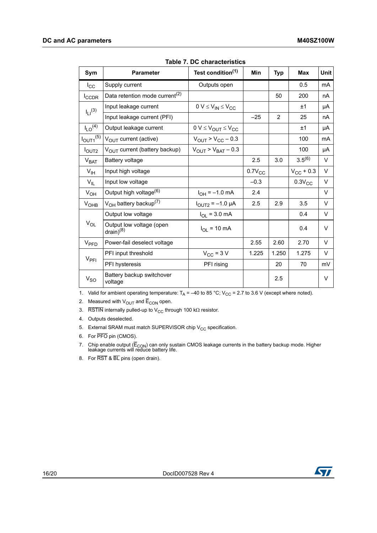<span id="page-15-0"></span>

| Sym                     | <b>Parameter</b>                           | Test condition <sup>(1)</sup>             | Min         | <b>Typ</b>     | Max            | Unit   |
|-------------------------|--------------------------------------------|-------------------------------------------|-------------|----------------|----------------|--------|
| $I_{\rm CC}$            | Supply current                             | Outputs open                              |             |                | 0.5            | mA     |
| <b>I</b> CCDR           | Data retention mode current <sup>(2)</sup> |                                           |             | 50             | 200            | nA     |
| $I_{11}^{(3)}$          | Input leakage current                      | $0 V \leq V_{IN} \leq V_{CC}$             |             |                | ±1             | μA     |
|                         | Input leakage current (PFI)                |                                           | $-25$       | $\overline{2}$ | 25             | nA     |
| $I_{LO}$ <sup>(4)</sup> | Output leakage current                     | $0 V \leq V_{OUT} \leq V_{CC}$            |             |                | ±1             | μA     |
| $I_{OUT1}^{(5)}$        | $V_{\text{OUT}}$ current (active)          | $V_{\text{OUT}}$ > $V_{\text{CC}}$ – 0.3  |             |                | 100            | mA     |
| I <sub>OUT2</sub>       | V <sub>OUT</sub> current (battery backup)  | $V_{\text{OUT}}$ > $V_{\text{BAT}}$ – 0.3 |             |                | 100            | μA     |
| V <sub>BAT</sub>        | Battery voltage                            |                                           | 2.5         | 3.0            | $3.5^{(6)}$    | V      |
| $V_{\text{IH}}$         | Input high voltage                         |                                           | $0.7V_{CC}$ |                | $V_{CC}$ + 0.3 | V      |
| $V_{IL}$                | Input low voltage                          |                                           | $-0.3$      |                | $0.3V_{CC}$    | V      |
| $V_{OH}$                | Output high voltage <sup>(6)</sup>         | $I_{OH} = -1.0$ mA                        | 2.4         |                |                | V      |
| V <sub>OHB</sub>        | $V_{OH}$ battery backup <sup>(7)</sup>     | $I_{\text{OUT2}} = -1.0 \mu A$            | 2.5         | 2.9            | 3.5            | V      |
|                         | Output low voltage                         | $I_{OL}$ = 3.0 mA                         |             |                | 0.4            | V      |
| $V_{OL}$                | Output low voltage (open<br>$drain)^{(8)}$ | $I_{OL}$ = 10 mA                          |             |                | 0.4            | $\vee$ |
| V <sub>PFD</sub>        | Power-fail deselect voltage                |                                           | 2.55        | 2.60           | 2.70           | $\vee$ |
| $V_{\sf PFI}$           | PFI input threshold                        | $V_{CC}$ = 3 V                            | 1.225       | 1.250          | 1.275          | V      |
|                         | PFI hysteresis                             | PFI rising                                |             | 20             | 70             | mV     |
| $V_{SO}$                | Battery backup switchover<br>voltage       |                                           |             | 2.5            |                | V      |

|  |  |  | Table 7. DC characteristics |
|--|--|--|-----------------------------|
|--|--|--|-----------------------------|

1. Valid for ambient operating temperature:  $T_A = -40$  to 85 °C; V<sub>CC</sub> = 2.7 to 3.6 V (except where noted).

2. Measured with  $V_{\text{OUT}}$  and  $\overline{E}_{\text{CON}}$  open.

3. RSTIN internally pulled-up to V<sub>CC</sub> through 100 k $\Omega$  resistor.

4. Outputs deselected.

- 5. External SRAM must match SUPERVISOR chip  $V_{CC}$  specification.
- 6. For PFO pin (CMOS).
- 7. Chip enable output (E<sub>CON</sub>) can only sustain CMOS leakage currents in the battery backup mode. Higher leakage currents will reduce battery life.
- 8. For RST & BL pins (open drain).

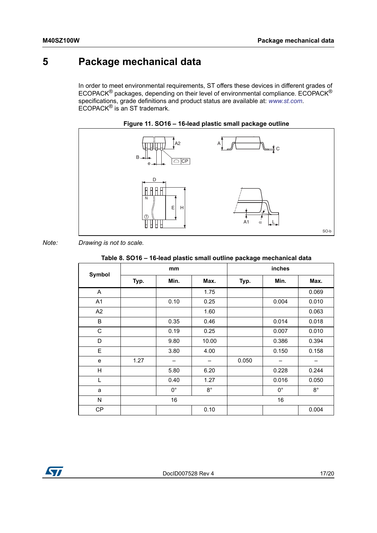## <span id="page-16-0"></span>**5 Package mechanical data**

In order to meet environmental requirements, ST offers these devices in different grades of ECOPACK® packages, depending on their level of environmental compliance. ECOPACK® specifications, grade definitions and product status are available at: *[www.st.com](http://www.st.com)*. ECOPACK® is an ST trademark.

<span id="page-16-2"></span>



#### *Note: Drawing is not to scale.*

#### **Table 8. SO16 – 16-lead plastic small outline package mechanical data**

<span id="page-16-1"></span>

|           | mm   |             |                          | inches |             |             |  |
|-----------|------|-------------|--------------------------|--------|-------------|-------------|--|
| Symbol    | Typ. | Min.        | Max.                     | Typ.   | Min.        | Max.        |  |
| A         |      |             | 1.75                     |        |             | 0.069       |  |
| A1        |      | 0.10        | 0.25                     |        | 0.004       | 0.010       |  |
| A2        |      |             | 1.60                     |        |             | 0.063       |  |
| B         |      | 0.35        | 0.46                     |        | 0.014       | 0.018       |  |
| C         |      | 0.19        | 0.25                     |        | 0.007       | 0.010       |  |
| D         |      | 9.80        | 10.00                    |        | 0.386       | 0.394       |  |
| E         |      | 3.80        | 4.00                     |        | 0.150       | 0.158       |  |
| e         | 1.27 | -           | $\overline{\phantom{m}}$ | 0.050  | —           | -           |  |
| H         |      | 5.80        | 6.20                     |        | 0.228       | 0.244       |  |
| L         |      | 0.40        | 1.27                     |        | 0.016       | 0.050       |  |
| a         |      | $0^{\circ}$ | $8^{\circ}$              |        | $0^{\circ}$ | $8^{\circ}$ |  |
| N         |      | 16          |                          |        | 16          |             |  |
| <b>CP</b> |      |             | 0.10                     |        |             | 0.004       |  |

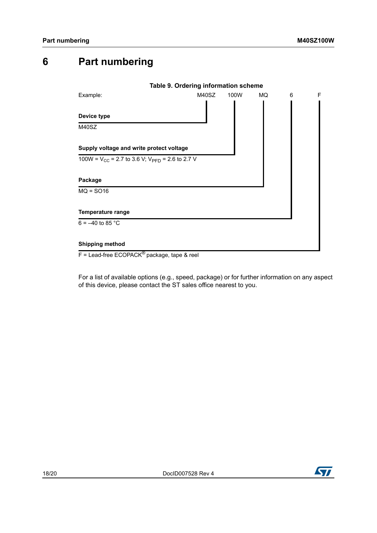## <span id="page-17-0"></span>**6 Part numbering**

<span id="page-17-1"></span>

For a list of available options (e.g., speed, package) or for further information on any aspect of this device, please contact the ST sales office nearest to you.

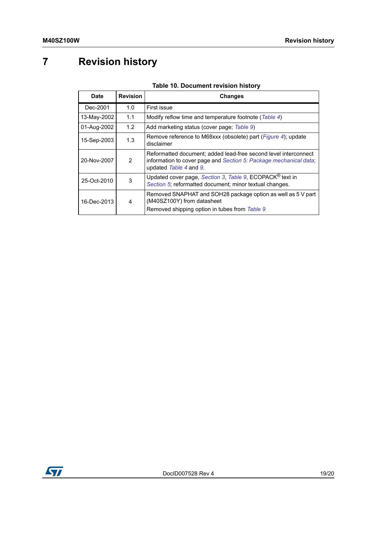# <span id="page-18-0"></span>**7 Revision history**

#### **Table 10. Document revision history**

<span id="page-18-1"></span>

| Date             | <b>Revision</b> | <b>Changes</b>                                                                                                                                                 |  |
|------------------|-----------------|----------------------------------------------------------------------------------------------------------------------------------------------------------------|--|
| Dec-2001         | 1.0             | First issue                                                                                                                                                    |  |
| 13-May-2002      | 1.1             | Modify reflow time and temperature footnote (Table 4)                                                                                                          |  |
| 01-Aug-2002      | 1.2             | Add marketing status (cover page; Table 9)                                                                                                                     |  |
| 15-Sep-2003      | 1.3             | Remove reference to M68xxx (obsolete) part ( <i>Figure 4</i> ); update<br>disclaimer                                                                           |  |
| 20-Nov-2007      | 2               | Reformatted document; added lead-free second level interconnect<br>information to cover page and Section 5: Package mechanical data;<br>updated Table 4 and 9. |  |
| 25-Oct-2010      | 3               | Updated cover page, Section 3, Table 9, ECOPACK <sup>®</sup> text in<br>Section 5; reformatted document; minor textual changes.                                |  |
| 16-Dec-2013<br>4 |                 | Removed SNAPHAT and SOH28 package option as well as 5 V part<br>(M40SZ100Y) from datasheet<br>Removed shipping option in tubes from Table 9                    |  |